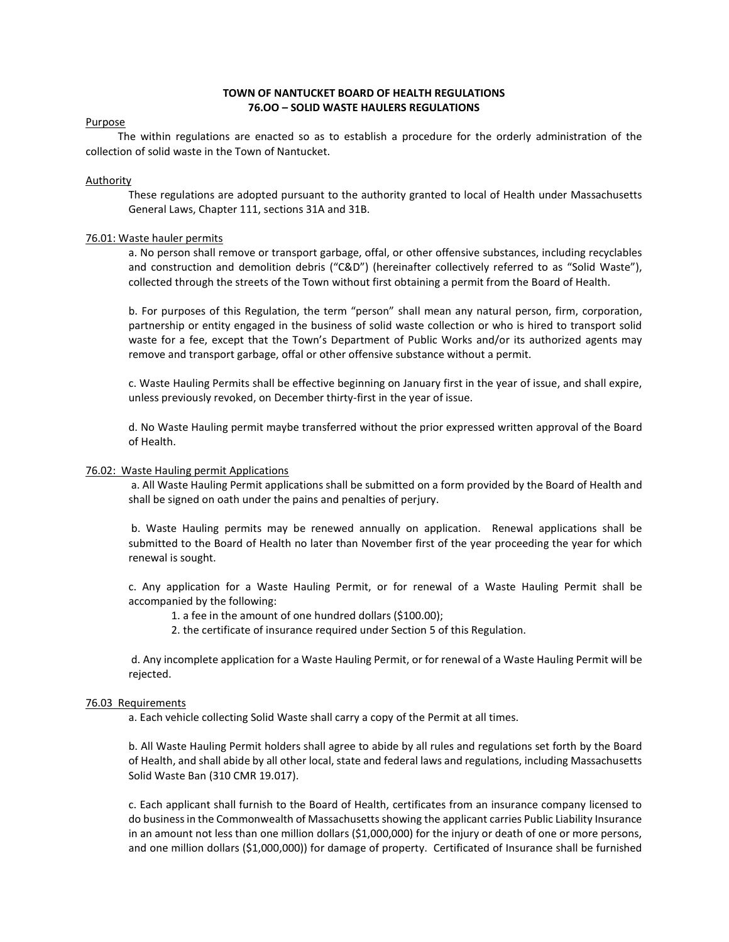# TOWN OF NANTUCKET BOARD OF HEALTH REGULATIONS 76.OO – SOLID WASTE HAULERS REGULATIONS

## Purpose

 The within regulations are enacted so as to establish a procedure for the orderly administration of the collection of solid waste in the Town of Nantucket.

## Authority

These regulations are adopted pursuant to the authority granted to local of Health under Massachusetts General Laws, Chapter 111, sections 31A and 31B.

# 76.01: Waste hauler permits

a. No person shall remove or transport garbage, offal, or other offensive substances, including recyclables and construction and demolition debris ("C&D") (hereinafter collectively referred to as "Solid Waste"), collected through the streets of the Town without first obtaining a permit from the Board of Health.

b. For purposes of this Regulation, the term "person" shall mean any natural person, firm, corporation, partnership or entity engaged in the business of solid waste collection or who is hired to transport solid waste for a fee, except that the Town's Department of Public Works and/or its authorized agents may remove and transport garbage, offal or other offensive substance without a permit.

c. Waste Hauling Permits shall be effective beginning on January first in the year of issue, and shall expire, unless previously revoked, on December thirty-first in the year of issue.

d. No Waste Hauling permit maybe transferred without the prior expressed written approval of the Board of Health.

#### 76.02: Waste Hauling permit Applications

a. All Waste Hauling Permit applications shall be submitted on a form provided by the Board of Health and shall be signed on oath under the pains and penalties of perjury.

b. Waste Hauling permits may be renewed annually on application. Renewal applications shall be submitted to the Board of Health no later than November first of the year proceeding the year for which renewal is sought.

c. Any application for a Waste Hauling Permit, or for renewal of a Waste Hauling Permit shall be accompanied by the following:

1. a fee in the amount of one hundred dollars (\$100.00);

2. the certificate of insurance required under Section 5 of this Regulation.

 d. Any incomplete application for a Waste Hauling Permit, or for renewal of a Waste Hauling Permit will be rejected.

#### 76.03 Requirements

a. Each vehicle collecting Solid Waste shall carry a copy of the Permit at all times.

b. All Waste Hauling Permit holders shall agree to abide by all rules and regulations set forth by the Board of Health, and shall abide by all other local, state and federal laws and regulations, including Massachusetts Solid Waste Ban (310 CMR 19.017).

c. Each applicant shall furnish to the Board of Health, certificates from an insurance company licensed to do business in the Commonwealth of Massachusetts showing the applicant carries Public Liability Insurance in an amount not less than one million dollars (\$1,000,000) for the injury or death of one or more persons, and one million dollars (\$1,000,000)) for damage of property. Certificated of Insurance shall be furnished